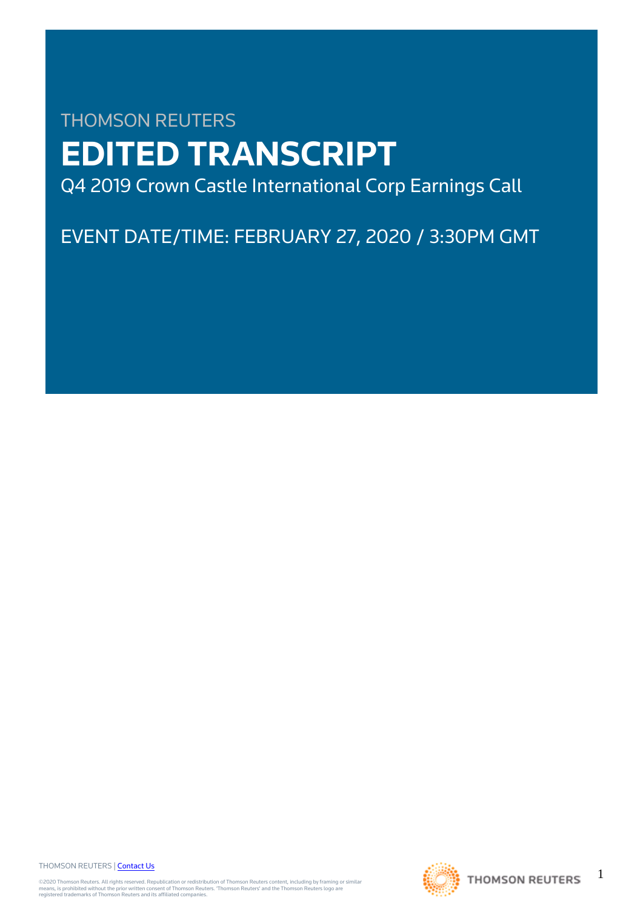# THOMSON REUTERS **EDITED TRANSCRIPT** Q4 2019 Crown Castle International Corp Earnings Call

EVENT DATE/TIME: FEBRUARY 27, 2020 / 3:30PM GMT

THOMSON REUTERS | [Contact Us](https://my.thomsonreuters.com/ContactUsNew)

©2020 Thomson Reuters. All rights reserved. Republication or redistribution of Thomson Reuters content, including by framing or similar<br>means, is prohibited without the prior written consent of Thomson Reuters. 'Thomson Re



1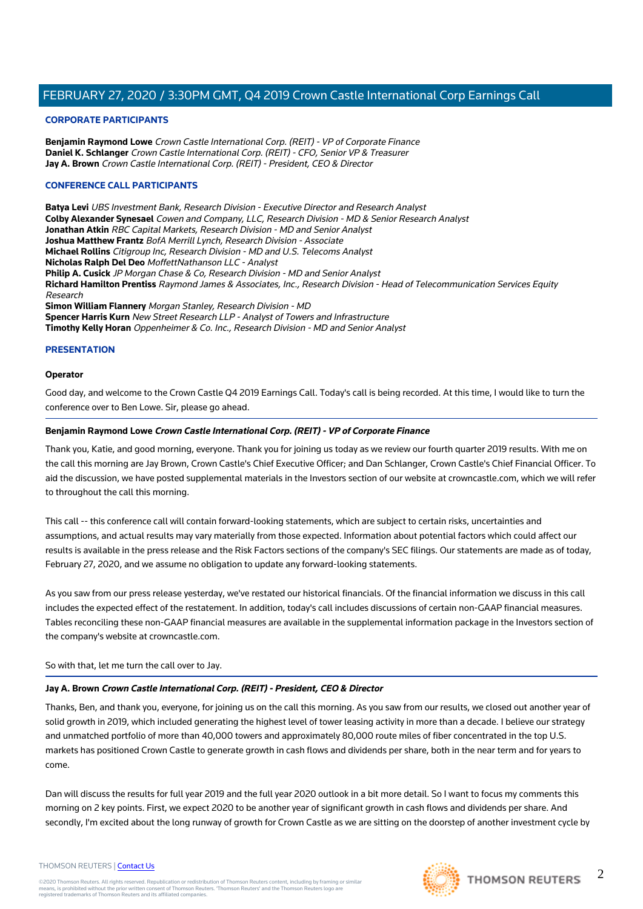## **CORPORATE PARTICIPANTS**

**Benjamin Raymond Lowe** Crown Castle International Corp. (REIT) - VP of Corporate Finance **Daniel K. Schlanger** Crown Castle International Corp. (REIT) - CFO, Senior VP & Treasurer **Jay A. Brown** Crown Castle International Corp. (REIT) - President, CEO & Director

## **CONFERENCE CALL PARTICIPANTS**

**Batya Levi** UBS Investment Bank, Research Division - Executive Director and Research Analyst **Colby Alexander Synesael** Cowen and Company, LLC, Research Division - MD & Senior Research Analyst **Jonathan Atkin** RBC Capital Markets, Research Division - MD and Senior Analyst **Joshua Matthew Frantz** BofA Merrill Lynch, Research Division - Associate **Michael Rollins** Citigroup Inc, Research Division - MD and U.S. Telecoms Analyst **Nicholas Ralph Del Deo** MoffettNathanson LLC - Analyst **Philip A. Cusick** JP Morgan Chase & Co, Research Division - MD and Senior Analyst **Richard Hamilton Prentiss** Raymond James & Associates, Inc., Research Division - Head of Telecommunication Services Equity Research **Simon William Flannery** Morgan Stanley, Research Division - MD **Spencer Harris Kurn** New Street Research LLP - Analyst of Towers and Infrastructure **Timothy Kelly Horan** Oppenheimer & Co. Inc., Research Division - MD and Senior Analyst

## **PRESENTATION**

#### **Operator**

Good day, and welcome to the Crown Castle Q4 2019 Earnings Call. Today's call is being recorded. At this time, I would like to turn the conference over to Ben Lowe. Sir, please go ahead.

## **Benjamin Raymond Lowe Crown Castle International Corp. (REIT) - VP of Corporate Finance**

Thank you, Katie, and good morning, everyone. Thank you for joining us today as we review our fourth quarter 2019 results. With me on the call this morning are Jay Brown, Crown Castle's Chief Executive Officer; and Dan Schlanger, Crown Castle's Chief Financial Officer. To aid the discussion, we have posted supplemental materials in the Investors section of our website at crowncastle.com, which we will refer to throughout the call this morning.

This call -- this conference call will contain forward-looking statements, which are subject to certain risks, uncertainties and assumptions, and actual results may vary materially from those expected. Information about potential factors which could affect our results is available in the press release and the Risk Factors sections of the company's SEC filings. Our statements are made as of today, February 27, 2020, and we assume no obligation to update any forward-looking statements.

As you saw from our press release yesterday, we've restated our historical financials. Of the financial information we discuss in this call includes the expected effect of the restatement. In addition, today's call includes discussions of certain non-GAAP financial measures. Tables reconciling these non-GAAP financial measures are available in the supplemental information package in the Investors section of the company's website at crowncastle.com.

So with that, let me turn the call over to Jay.

## **Jay A. Brown Crown Castle International Corp. (REIT) - President, CEO & Director**

Thanks, Ben, and thank you, everyone, for joining us on the call this morning. As you saw from our results, we closed out another year of solid growth in 2019, which included generating the highest level of tower leasing activity in more than a decade. I believe our strategy and unmatched portfolio of more than 40,000 towers and approximately 80,000 route miles of fiber concentrated in the top U.S. markets has positioned Crown Castle to generate growth in cash flows and dividends per share, both in the near term and for years to come.

Dan will discuss the results for full year 2019 and the full year 2020 outlook in a bit more detail. So I want to focus my comments this morning on 2 key points. First, we expect 2020 to be another year of significant growth in cash flows and dividends per share. And secondly, I'm excited about the long runway of growth for Crown Castle as we are sitting on the doorstep of another investment cycle by

 $\mathfrak{D}$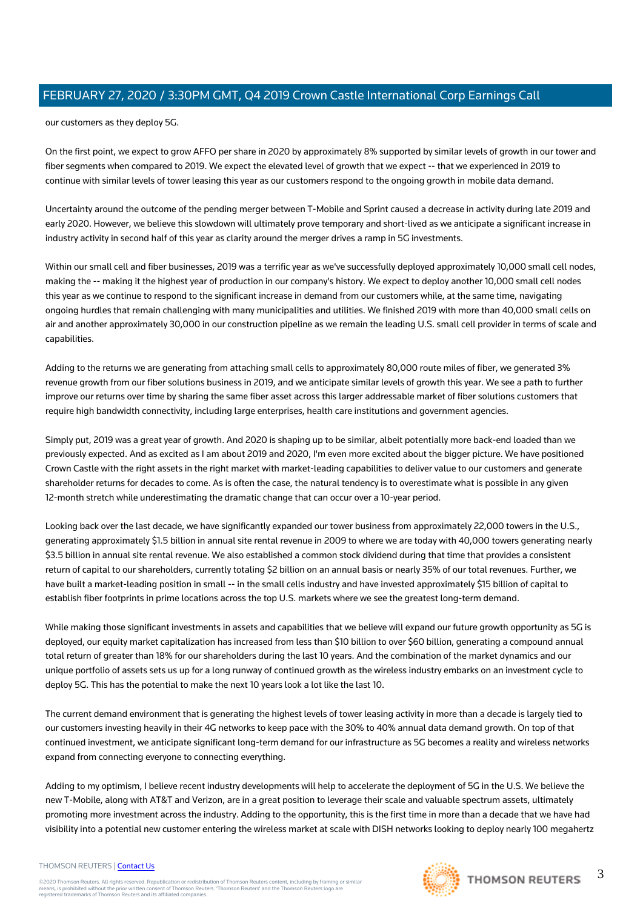our customers as they deploy 5G.

On the first point, we expect to grow AFFO per share in 2020 by approximately 8% supported by similar levels of growth in our tower and fiber segments when compared to 2019. We expect the elevated level of growth that we expect -- that we experienced in 2019 to continue with similar levels of tower leasing this year as our customers respond to the ongoing growth in mobile data demand.

Uncertainty around the outcome of the pending merger between T-Mobile and Sprint caused a decrease in activity during late 2019 and early 2020. However, we believe this slowdown will ultimately prove temporary and short-lived as we anticipate a significant increase in industry activity in second half of this year as clarity around the merger drives a ramp in 5G investments.

Within our small cell and fiber businesses, 2019 was a terrific year as we've successfully deployed approximately 10,000 small cell nodes, making the -- making it the highest year of production in our company's history. We expect to deploy another 10,000 small cell nodes this year as we continue to respond to the significant increase in demand from our customers while, at the same time, navigating ongoing hurdles that remain challenging with many municipalities and utilities. We finished 2019 with more than 40,000 small cells on air and another approximately 30,000 in our construction pipeline as we remain the leading U.S. small cell provider in terms of scale and capabilities.

Adding to the returns we are generating from attaching small cells to approximately 80,000 route miles of fiber, we generated 3% revenue growth from our fiber solutions business in 2019, and we anticipate similar levels of growth this year. We see a path to further improve our returns over time by sharing the same fiber asset across this larger addressable market of fiber solutions customers that require high bandwidth connectivity, including large enterprises, health care institutions and government agencies.

Simply put, 2019 was a great year of growth. And 2020 is shaping up to be similar, albeit potentially more back-end loaded than we previously expected. And as excited as I am about 2019 and 2020, I'm even more excited about the bigger picture. We have positioned Crown Castle with the right assets in the right market with market-leading capabilities to deliver value to our customers and generate shareholder returns for decades to come. As is often the case, the natural tendency is to overestimate what is possible in any given 12-month stretch while underestimating the dramatic change that can occur over a 10-year period.

Looking back over the last decade, we have significantly expanded our tower business from approximately 22,000 towers in the U.S., generating approximately \$1.5 billion in annual site rental revenue in 2009 to where we are today with 40,000 towers generating nearly \$3.5 billion in annual site rental revenue. We also established a common stock dividend during that time that provides a consistent return of capital to our shareholders, currently totaling \$2 billion on an annual basis or nearly 35% of our total revenues. Further, we have built a market-leading position in small -- in the small cells industry and have invested approximately \$15 billion of capital to establish fiber footprints in prime locations across the top U.S. markets where we see the greatest long-term demand.

While making those significant investments in assets and capabilities that we believe will expand our future growth opportunity as 5G is deployed, our equity market capitalization has increased from less than \$10 billion to over \$60 billion, generating a compound annual total return of greater than 18% for our shareholders during the last 10 years. And the combination of the market dynamics and our unique portfolio of assets sets us up for a long runway of continued growth as the wireless industry embarks on an investment cycle to deploy 5G. This has the potential to make the next 10 years look a lot like the last 10.

The current demand environment that is generating the highest levels of tower leasing activity in more than a decade is largely tied to our customers investing heavily in their 4G networks to keep pace with the 30% to 40% annual data demand growth. On top of that continued investment, we anticipate significant long-term demand for our infrastructure as 5G becomes a reality and wireless networks expand from connecting everyone to connecting everything.

Adding to my optimism, I believe recent industry developments will help to accelerate the deployment of 5G in the U.S. We believe the new T-Mobile, along with AT&T and Verizon, are in a great position to leverage their scale and valuable spectrum assets, ultimately promoting more investment across the industry. Adding to the opportunity, this is the first time in more than a decade that we have had visibility into a potential new customer entering the wireless market at scale with DISH networks looking to deploy nearly 100 megahertz

#### THOMSON REUTERS | [Contact Us](https://my.thomsonreuters.com/ContactUsNew)



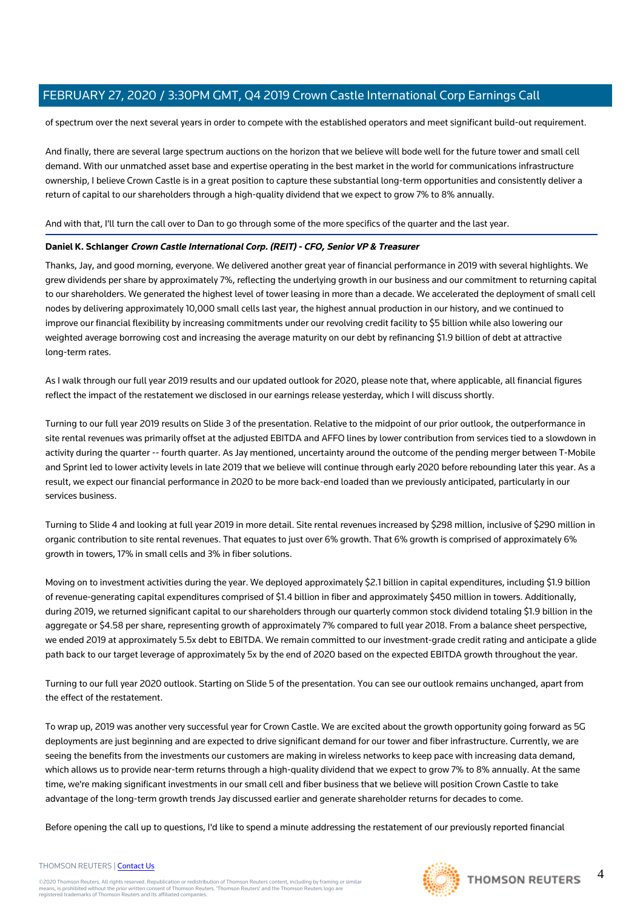of spectrum over the next several years in order to compete with the established operators and meet significant build-out requirement.

And finally, there are several large spectrum auctions on the horizon that we believe will bode well for the future tower and small cell demand. With our unmatched asset base and expertise operating in the best market in the world for communications infrastructure ownership, I believe Crown Castle is in a great position to capture these substantial long-term opportunities and consistently deliver a return of capital to our shareholders through a high-quality dividend that we expect to grow 7% to 8% annually.

## And with that, I'll turn the call over to Dan to go through some of the more specifics of the quarter and the last year.

## **Daniel K. Schlanger Crown Castle International Corp. (REIT) - CFO, Senior VP & Treasurer**

Thanks, Jay, and good morning, everyone. We delivered another great year of financial performance in 2019 with several highlights. We grew dividends per share by approximately 7%, reflecting the underlying growth in our business and our commitment to returning capital to our shareholders. We generated the highest level of tower leasing in more than a decade. We accelerated the deployment of small cell nodes by delivering approximately 10,000 small cells last year, the highest annual production in our history, and we continued to improve our financial flexibility by increasing commitments under our revolving credit facility to \$5 billion while also lowering our weighted average borrowing cost and increasing the average maturity on our debt by refinancing \$1.9 billion of debt at attractive long-term rates.

As I walk through our full year 2019 results and our updated outlook for 2020, please note that, where applicable, all financial figures reflect the impact of the restatement we disclosed in our earnings release yesterday, which I will discuss shortly.

Turning to our full year 2019 results on Slide 3 of the presentation. Relative to the midpoint of our prior outlook, the outperformance in site rental revenues was primarily offset at the adjusted EBITDA and AFFO lines by lower contribution from services tied to a slowdown in activity during the quarter -- fourth quarter. As Jay mentioned, uncertainty around the outcome of the pending merger between T-Mobile and Sprint led to lower activity levels in late 2019 that we believe will continue through early 2020 before rebounding later this year. As a result, we expect our financial performance in 2020 to be more back-end loaded than we previously anticipated, particularly in our services business.

Turning to Slide 4 and looking at full year 2019 in more detail. Site rental revenues increased by \$298 million, inclusive of \$290 million in organic contribution to site rental revenues. That equates to just over 6% growth. That 6% growth is comprised of approximately 6% growth in towers, 17% in small cells and 3% in fiber solutions.

Moving on to investment activities during the year. We deployed approximately \$2.1 billion in capital expenditures, including \$1.9 billion of revenue-generating capital expenditures comprised of \$1.4 billion in fiber and approximately \$450 million in towers. Additionally, during 2019, we returned significant capital to our shareholders through our quarterly common stock dividend totaling \$1.9 billion in the aggregate or \$4.58 per share, representing growth of approximately 7% compared to full year 2018. From a balance sheet perspective, we ended 2019 at approximately 5.5x debt to EBITDA. We remain committed to our investment-grade credit rating and anticipate a glide path back to our target leverage of approximately 5x by the end of 2020 based on the expected EBITDA growth throughout the year.

Turning to our full year 2020 outlook. Starting on Slide 5 of the presentation. You can see our outlook remains unchanged, apart from the effect of the restatement.

To wrap up, 2019 was another very successful year for Crown Castle. We are excited about the growth opportunity going forward as 5G deployments are just beginning and are expected to drive significant demand for our tower and fiber infrastructure. Currently, we are seeing the benefits from the investments our customers are making in wireless networks to keep pace with increasing data demand, which allows us to provide near-term returns through a high-quality dividend that we expect to grow 7% to 8% annually. At the same time, we're making significant investments in our small cell and fiber business that we believe will position Crown Castle to take advantage of the long-term growth trends Jay discussed earlier and generate shareholder returns for decades to come.

Before opening the call up to questions, I'd like to spend a minute addressing the restatement of our previously reported financial

#### THOMSON REUTERS | [Contact Us](https://my.thomsonreuters.com/ContactUsNew)

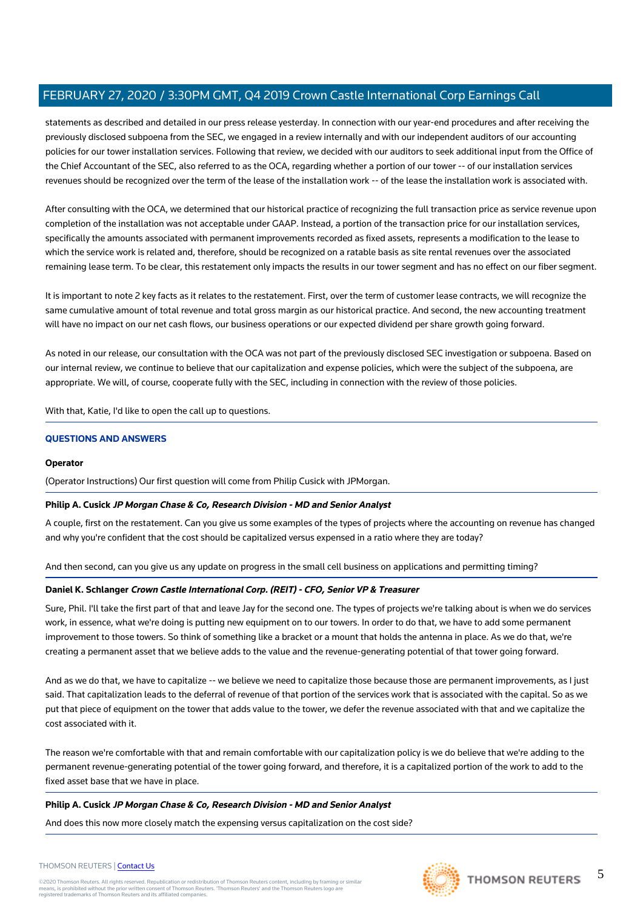statements as described and detailed in our press release yesterday. In connection with our year-end procedures and after receiving the previously disclosed subpoena from the SEC, we engaged in a review internally and with our independent auditors of our accounting policies for our tower installation services. Following that review, we decided with our auditors to seek additional input from the Office of the Chief Accountant of the SEC, also referred to as the OCA, regarding whether a portion of our tower -- of our installation services revenues should be recognized over the term of the lease of the installation work -- of the lease the installation work is associated with.

After consulting with the OCA, we determined that our historical practice of recognizing the full transaction price as service revenue upon completion of the installation was not acceptable under GAAP. Instead, a portion of the transaction price for our installation services, specifically the amounts associated with permanent improvements recorded as fixed assets, represents a modification to the lease to which the service work is related and, therefore, should be recognized on a ratable basis as site rental revenues over the associated remaining lease term. To be clear, this restatement only impacts the results in our tower segment and has no effect on our fiber segment.

It is important to note 2 key facts as it relates to the restatement. First, over the term of customer lease contracts, we will recognize the same cumulative amount of total revenue and total gross margin as our historical practice. And second, the new accounting treatment will have no impact on our net cash flows, our business operations or our expected dividend per share growth going forward.

As noted in our release, our consultation with the OCA was not part of the previously disclosed SEC investigation or subpoena. Based on our internal review, we continue to believe that our capitalization and expense policies, which were the subject of the subpoena, are appropriate. We will, of course, cooperate fully with the SEC, including in connection with the review of those policies.

With that, Katie, I'd like to open the call up to questions.

## **QUESTIONS AND ANSWERS**

## **Operator**

(Operator Instructions) Our first question will come from Philip Cusick with JPMorgan.

## **Philip A. Cusick JP Morgan Chase & Co, Research Division - MD and Senior Analyst**

A couple, first on the restatement. Can you give us some examples of the types of projects where the accounting on revenue has changed and why you're confident that the cost should be capitalized versus expensed in a ratio where they are today?

And then second, can you give us any update on progress in the small cell business on applications and permitting timing?

## **Daniel K. Schlanger Crown Castle International Corp. (REIT) - CFO, Senior VP & Treasurer**

Sure, Phil. I'll take the first part of that and leave Jay for the second one. The types of projects we're talking about is when we do services work, in essence, what we're doing is putting new equipment on to our towers. In order to do that, we have to add some permanent improvement to those towers. So think of something like a bracket or a mount that holds the antenna in place. As we do that, we're creating a permanent asset that we believe adds to the value and the revenue-generating potential of that tower going forward.

And as we do that, we have to capitalize -- we believe we need to capitalize those because those are permanent improvements, as I just said. That capitalization leads to the deferral of revenue of that portion of the services work that is associated with the capital. So as we put that piece of equipment on the tower that adds value to the tower, we defer the revenue associated with that and we capitalize the cost associated with it.

The reason we're comfortable with that and remain comfortable with our capitalization policy is we do believe that we're adding to the permanent revenue-generating potential of the tower going forward, and therefore, it is a capitalized portion of the work to add to the fixed asset base that we have in place.

## **Philip A. Cusick JP Morgan Chase & Co, Research Division - MD and Senior Analyst**

And does this now more closely match the expensing versus capitalization on the cost side?



#### 5 THOMSON REUTERS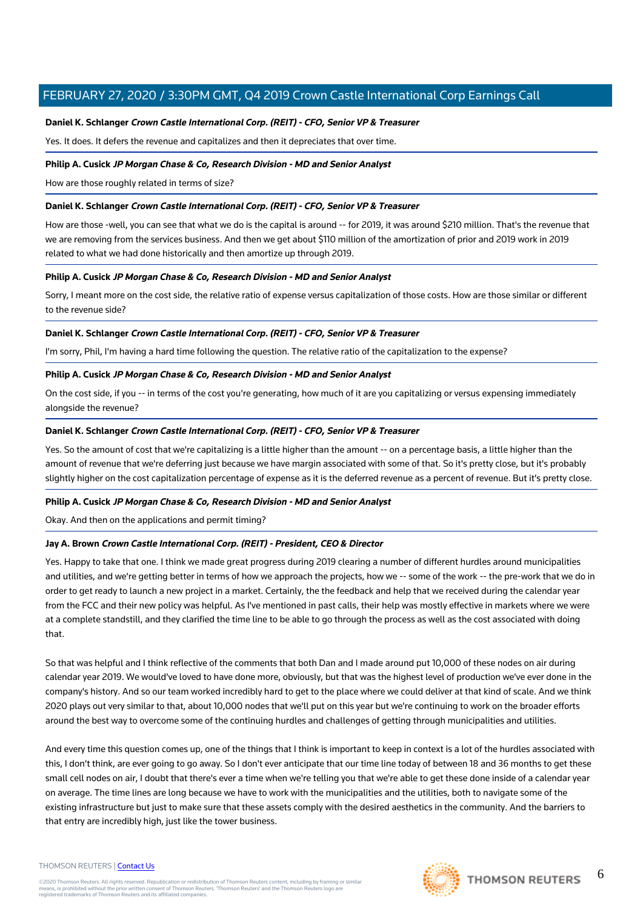## **Daniel K. Schlanger Crown Castle International Corp. (REIT) - CFO, Senior VP & Treasurer**

Yes. It does. It defers the revenue and capitalizes and then it depreciates that over time.

#### **Philip A. Cusick JP Morgan Chase & Co, Research Division - MD and Senior Analyst**

How are those roughly related in terms of size?

## **Daniel K. Schlanger Crown Castle International Corp. (REIT) - CFO, Senior VP & Treasurer**

How are those -well, you can see that what we do is the capital is around -- for 2019, it was around \$210 million. That's the revenue that we are removing from the services business. And then we get about \$110 million of the amortization of prior and 2019 work in 2019 related to what we had done historically and then amortize up through 2019.

## **Philip A. Cusick JP Morgan Chase & Co, Research Division - MD and Senior Analyst**

Sorry, I meant more on the cost side, the relative ratio of expense versus capitalization of those costs. How are those similar or different to the revenue side?

## **Daniel K. Schlanger Crown Castle International Corp. (REIT) - CFO, Senior VP & Treasurer**

I'm sorry, Phil, I'm having a hard time following the question. The relative ratio of the capitalization to the expense?

## **Philip A. Cusick JP Morgan Chase & Co, Research Division - MD and Senior Analyst**

On the cost side, if you -- in terms of the cost you're generating, how much of it are you capitalizing or versus expensing immediately alongside the revenue?

## **Daniel K. Schlanger Crown Castle International Corp. (REIT) - CFO, Senior VP & Treasurer**

Yes. So the amount of cost that we're capitalizing is a little higher than the amount -- on a percentage basis, a little higher than the amount of revenue that we're deferring just because we have margin associated with some of that. So it's pretty close, but it's probably slightly higher on the cost capitalization percentage of expense as it is the deferred revenue as a percent of revenue. But it's pretty close.

## **Philip A. Cusick JP Morgan Chase & Co, Research Division - MD and Senior Analyst**

Okay. And then on the applications and permit timing?

## **Jay A. Brown Crown Castle International Corp. (REIT) - President, CEO & Director**

Yes. Happy to take that one. I think we made great progress during 2019 clearing a number of different hurdles around municipalities and utilities, and we're getting better in terms of how we approach the projects, how we -- some of the work -- the pre-work that we do in order to get ready to launch a new project in a market. Certainly, the the feedback and help that we received during the calendar year from the FCC and their new policy was helpful. As I've mentioned in past calls, their help was mostly effective in markets where we were at a complete standstill, and they clarified the time line to be able to go through the process as well as the cost associated with doing that.

So that was helpful and I think reflective of the comments that both Dan and I made around put 10,000 of these nodes on air during calendar year 2019. We would've loved to have done more, obviously, but that was the highest level of production we've ever done in the company's history. And so our team worked incredibly hard to get to the place where we could deliver at that kind of scale. And we think 2020 plays out very similar to that, about 10,000 nodes that we'll put on this year but we're continuing to work on the broader efforts around the best way to overcome some of the continuing hurdles and challenges of getting through municipalities and utilities.

And every time this question comes up, one of the things that I think is important to keep in context is a lot of the hurdles associated with this, I don't think, are ever going to go away. So I don't ever anticipate that our time line today of between 18 and 36 months to get these small cell nodes on air, I doubt that there's ever a time when we're telling you that we're able to get these done inside of a calendar year on average. The time lines are long because we have to work with the municipalities and the utilities, both to navigate some of the existing infrastructure but just to make sure that these assets comply with the desired aesthetics in the community. And the barriers to that entry are incredibly high, just like the tower business.

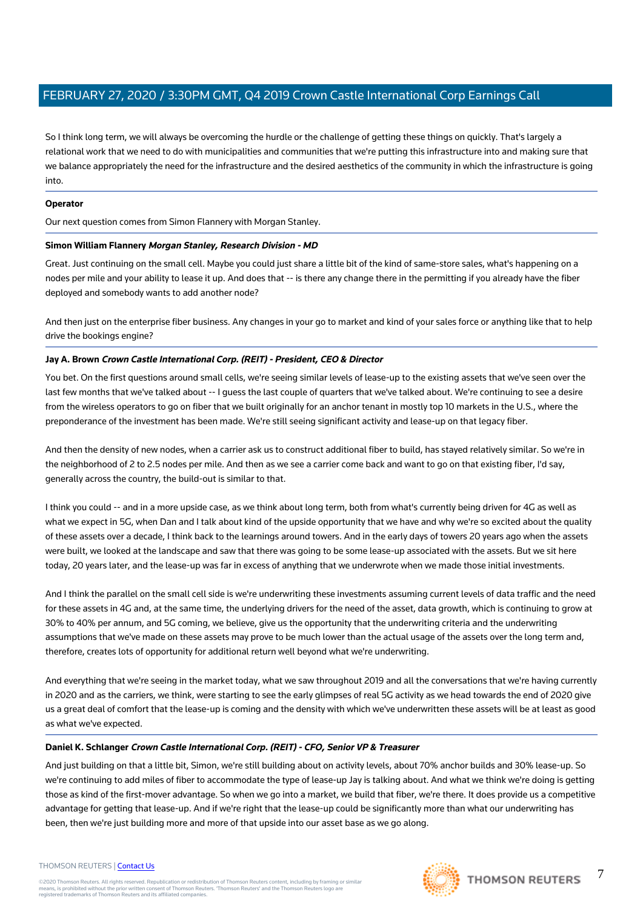So I think long term, we will always be overcoming the hurdle or the challenge of getting these things on quickly. That's largely a relational work that we need to do with municipalities and communities that we're putting this infrastructure into and making sure that we balance appropriately the need for the infrastructure and the desired aesthetics of the community in which the infrastructure is going into.

## **Operator**

Our next question comes from Simon Flannery with Morgan Stanley.

## **Simon William Flannery Morgan Stanley, Research Division - MD**

Great. Just continuing on the small cell. Maybe you could just share a little bit of the kind of same-store sales, what's happening on a nodes per mile and your ability to lease it up. And does that -- is there any change there in the permitting if you already have the fiber deployed and somebody wants to add another node?

And then just on the enterprise fiber business. Any changes in your go to market and kind of your sales force or anything like that to help drive the bookings engine?

## **Jay A. Brown Crown Castle International Corp. (REIT) - President, CEO & Director**

You bet. On the first questions around small cells, we're seeing similar levels of lease-up to the existing assets that we've seen over the last few months that we've talked about -- I guess the last couple of quarters that we've talked about. We're continuing to see a desire from the wireless operators to go on fiber that we built originally for an anchor tenant in mostly top 10 markets in the U.S., where the preponderance of the investment has been made. We're still seeing significant activity and lease-up on that legacy fiber.

And then the density of new nodes, when a carrier ask us to construct additional fiber to build, has stayed relatively similar. So we're in the neighborhood of 2 to 2.5 nodes per mile. And then as we see a carrier come back and want to go on that existing fiber, I'd say, generally across the country, the build-out is similar to that.

I think you could -- and in a more upside case, as we think about long term, both from what's currently being driven for 4G as well as what we expect in 5G, when Dan and I talk about kind of the upside opportunity that we have and why we're so excited about the quality of these assets over a decade, I think back to the learnings around towers. And in the early days of towers 20 years ago when the assets were built, we looked at the landscape and saw that there was going to be some lease-up associated with the assets. But we sit here today, 20 years later, and the lease-up was far in excess of anything that we underwrote when we made those initial investments.

And I think the parallel on the small cell side is we're underwriting these investments assuming current levels of data traffic and the need for these assets in 4G and, at the same time, the underlying drivers for the need of the asset, data growth, which is continuing to grow at 30% to 40% per annum, and 5G coming, we believe, give us the opportunity that the underwriting criteria and the underwriting assumptions that we've made on these assets may prove to be much lower than the actual usage of the assets over the long term and, therefore, creates lots of opportunity for additional return well beyond what we're underwriting.

And everything that we're seeing in the market today, what we saw throughout 2019 and all the conversations that we're having currently in 2020 and as the carriers, we think, were starting to see the early glimpses of real 5G activity as we head towards the end of 2020 give us a great deal of comfort that the lease-up is coming and the density with which we've underwritten these assets will be at least as good as what we've expected.

## **Daniel K. Schlanger Crown Castle International Corp. (REIT) - CFO, Senior VP & Treasurer**

And just building on that a little bit, Simon, we're still building about on activity levels, about 70% anchor builds and 30% lease-up. So we're continuing to add miles of fiber to accommodate the type of lease-up Jay is talking about. And what we think we're doing is getting those as kind of the first-mover advantage. So when we go into a market, we build that fiber, we're there. It does provide us a competitive advantage for getting that lease-up. And if we're right that the lease-up could be significantly more than what our underwriting has been, then we're just building more and more of that upside into our asset base as we go along.

#### THOMSON REUTERS | [Contact Us](https://my.thomsonreuters.com/ContactUsNew)

©2020 Thomson Reuters. All rights reserved. Republication or redistribution of Thomson Reuters content, including by framing or similar<br>means, is prohibited without the prior written consent of Thomson Reuters. 'Thomson Re



7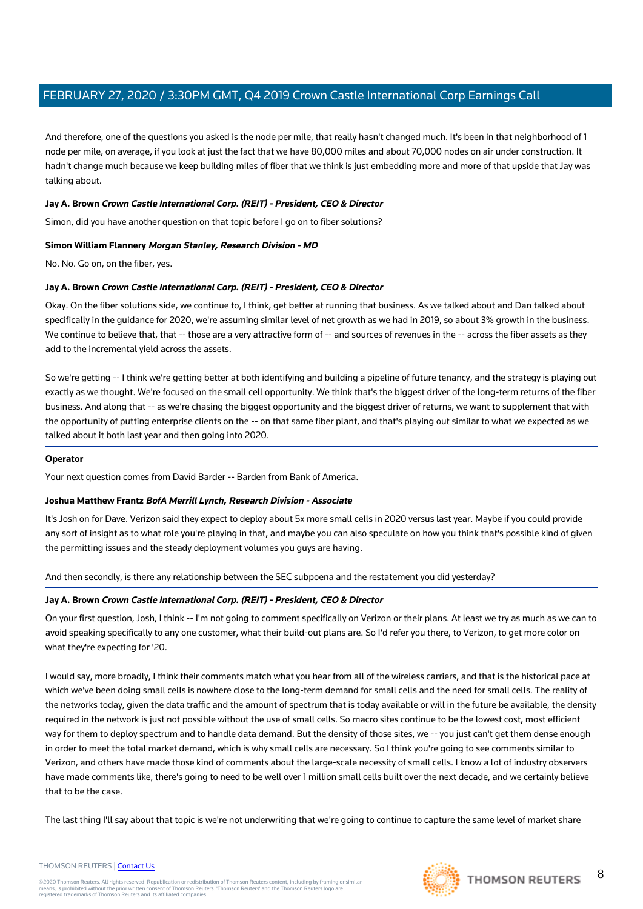And therefore, one of the questions you asked is the node per mile, that really hasn't changed much. It's been in that neighborhood of 1 node per mile, on average, if you look at just the fact that we have 80,000 miles and about 70,000 nodes on air under construction. It hadn't change much because we keep building miles of fiber that we think is just embedding more and more of that upside that Jay was talking about.

## **Jay A. Brown Crown Castle International Corp. (REIT) - President, CEO & Director**

Simon, did you have another question on that topic before I go on to fiber solutions?

## **Simon William Flannery Morgan Stanley, Research Division - MD**

No. No. Go on, on the fiber, yes.

## **Jay A. Brown Crown Castle International Corp. (REIT) - President, CEO & Director**

Okay. On the fiber solutions side, we continue to, I think, get better at running that business. As we talked about and Dan talked about specifically in the guidance for 2020, we're assuming similar level of net growth as we had in 2019, so about 3% growth in the business. We continue to believe that, that -- those are a very attractive form of -- and sources of revenues in the -- across the fiber assets as they add to the incremental yield across the assets.

So we're getting -- I think we're getting better at both identifying and building a pipeline of future tenancy, and the strategy is playing out exactly as we thought. We're focused on the small cell opportunity. We think that's the biggest driver of the long-term returns of the fiber business. And along that -- as we're chasing the biggest opportunity and the biggest driver of returns, we want to supplement that with the opportunity of putting enterprise clients on the -- on that same fiber plant, and that's playing out similar to what we expected as we talked about it both last year and then going into 2020.

## **Operator**

Your next question comes from David Barder -- Barden from Bank of America.

## **Joshua Matthew Frantz BofA Merrill Lynch, Research Division - Associate**

It's Josh on for Dave. Verizon said they expect to deploy about 5x more small cells in 2020 versus last year. Maybe if you could provide any sort of insight as to what role you're playing in that, and maybe you can also speculate on how you think that's possible kind of given the permitting issues and the steady deployment volumes you guys are having.

And then secondly, is there any relationship between the SEC subpoena and the restatement you did yesterday?

## **Jay A. Brown Crown Castle International Corp. (REIT) - President, CEO & Director**

On your first question, Josh, I think -- I'm not going to comment specifically on Verizon or their plans. At least we try as much as we can to avoid speaking specifically to any one customer, what their build-out plans are. So I'd refer you there, to Verizon, to get more color on what they're expecting for '20.

I would say, more broadly, I think their comments match what you hear from all of the wireless carriers, and that is the historical pace at which we've been doing small cells is nowhere close to the long-term demand for small cells and the need for small cells. The reality of the networks today, given the data traffic and the amount of spectrum that is today available or will in the future be available, the density required in the network is just not possible without the use of small cells. So macro sites continue to be the lowest cost, most efficient way for them to deploy spectrum and to handle data demand. But the density of those sites, we -- you just can't get them dense enough in order to meet the total market demand, which is why small cells are necessary. So I think you're going to see comments similar to Verizon, and others have made those kind of comments about the large-scale necessity of small cells. I know a lot of industry observers have made comments like, there's going to need to be well over 1 million small cells built over the next decade, and we certainly believe that to be the case.

The last thing I'll say about that topic is we're not underwriting that we're going to continue to capture the same level of market share

## THOMSON REUTERS | [Contact Us](https://my.thomsonreuters.com/ContactUsNew)



8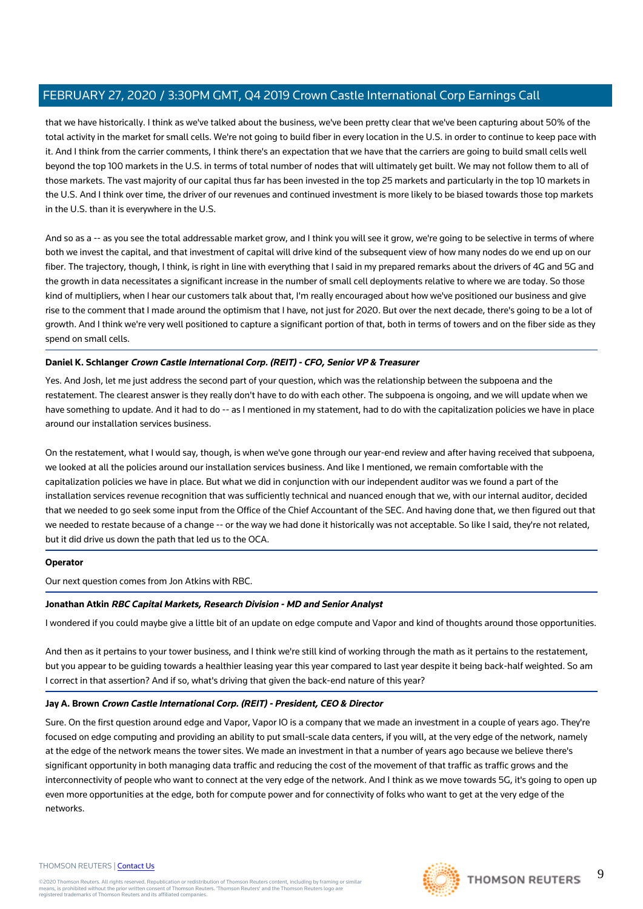that we have historically. I think as we've talked about the business, we've been pretty clear that we've been capturing about 50% of the total activity in the market for small cells. We're not going to build fiber in every location in the U.S. in order to continue to keep pace with it. And I think from the carrier comments, I think there's an expectation that we have that the carriers are going to build small cells well beyond the top 100 markets in the U.S. in terms of total number of nodes that will ultimately get built. We may not follow them to all of those markets. The vast majority of our capital thus far has been invested in the top 25 markets and particularly in the top 10 markets in the U.S. And I think over time, the driver of our revenues and continued investment is more likely to be biased towards those top markets in the U.S. than it is everywhere in the U.S.

And so as a -- as you see the total addressable market grow, and I think you will see it grow, we're going to be selective in terms of where both we invest the capital, and that investment of capital will drive kind of the subsequent view of how many nodes do we end up on our fiber. The trajectory, though, I think, is right in line with everything that I said in my prepared remarks about the drivers of 4G and 5G and the growth in data necessitates a significant increase in the number of small cell deployments relative to where we are today. So those kind of multipliers, when I hear our customers talk about that, I'm really encouraged about how we've positioned our business and give rise to the comment that I made around the optimism that I have, not just for 2020. But over the next decade, there's going to be a lot of growth. And I think we're very well positioned to capture a significant portion of that, both in terms of towers and on the fiber side as they spend on small cells.

## **Daniel K. Schlanger Crown Castle International Corp. (REIT) - CFO, Senior VP & Treasurer**

Yes. And Josh, let me just address the second part of your question, which was the relationship between the subpoena and the restatement. The clearest answer is they really don't have to do with each other. The subpoena is ongoing, and we will update when we have something to update. And it had to do -- as I mentioned in my statement, had to do with the capitalization policies we have in place around our installation services business.

On the restatement, what I would say, though, is when we've gone through our year-end review and after having received that subpoena, we looked at all the policies around our installation services business. And like I mentioned, we remain comfortable with the capitalization policies we have in place. But what we did in conjunction with our independent auditor was we found a part of the installation services revenue recognition that was sufficiently technical and nuanced enough that we, with our internal auditor, decided that we needed to go seek some input from the Office of the Chief Accountant of the SEC. And having done that, we then figured out that we needed to restate because of a change -- or the way we had done it historically was not acceptable. So like I said, they're not related, but it did drive us down the path that led us to the OCA.

## **Operator**

Our next question comes from Jon Atkins with RBC.

## **Jonathan Atkin RBC Capital Markets, Research Division - MD and Senior Analyst**

I wondered if you could maybe give a little bit of an update on edge compute and Vapor and kind of thoughts around those opportunities.

And then as it pertains to your tower business, and I think we're still kind of working through the math as it pertains to the restatement, but you appear to be guiding towards a healthier leasing year this year compared to last year despite it being back-half weighted. So am I correct in that assertion? And if so, what's driving that given the back-end nature of this year?

## **Jay A. Brown Crown Castle International Corp. (REIT) - President, CEO & Director**

Sure. On the first question around edge and Vapor, Vapor IO is a company that we made an investment in a couple of years ago. They're focused on edge computing and providing an ability to put small-scale data centers, if you will, at the very edge of the network, namely at the edge of the network means the tower sites. We made an investment in that a number of years ago because we believe there's significant opportunity in both managing data traffic and reducing the cost of the movement of that traffic as traffic grows and the interconnectivity of people who want to connect at the very edge of the network. And I think as we move towards 5G, it's going to open up even more opportunities at the edge, both for compute power and for connectivity of folks who want to get at the very edge of the networks.

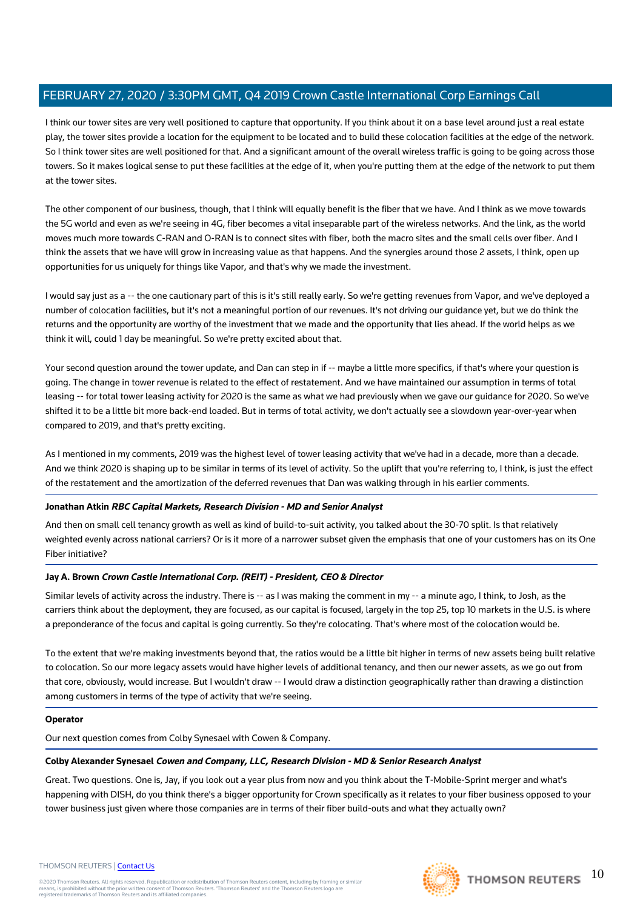I think our tower sites are very well positioned to capture that opportunity. If you think about it on a base level around just a real estate play, the tower sites provide a location for the equipment to be located and to build these colocation facilities at the edge of the network. So I think tower sites are well positioned for that. And a significant amount of the overall wireless traffic is going to be going across those towers. So it makes logical sense to put these facilities at the edge of it, when you're putting them at the edge of the network to put them at the tower sites.

The other component of our business, though, that I think will equally benefit is the fiber that we have. And I think as we move towards the 5G world and even as we're seeing in 4G, fiber becomes a vital inseparable part of the wireless networks. And the link, as the world moves much more towards C-RAN and O-RAN is to connect sites with fiber, both the macro sites and the small cells over fiber. And I think the assets that we have will grow in increasing value as that happens. And the synergies around those 2 assets, I think, open up opportunities for us uniquely for things like Vapor, and that's why we made the investment.

I would say just as a -- the one cautionary part of this is it's still really early. So we're getting revenues from Vapor, and we've deployed a number of colocation facilities, but it's not a meaningful portion of our revenues. It's not driving our guidance yet, but we do think the returns and the opportunity are worthy of the investment that we made and the opportunity that lies ahead. If the world helps as we think it will, could 1 day be meaningful. So we're pretty excited about that.

Your second question around the tower update, and Dan can step in if -- maybe a little more specifics, if that's where your question is going. The change in tower revenue is related to the effect of restatement. And we have maintained our assumption in terms of total leasing -- for total tower leasing activity for 2020 is the same as what we had previously when we gave our guidance for 2020. So we've shifted it to be a little bit more back-end loaded. But in terms of total activity, we don't actually see a slowdown year-over-year when compared to 2019, and that's pretty exciting.

As I mentioned in my comments, 2019 was the highest level of tower leasing activity that we've had in a decade, more than a decade. And we think 2020 is shaping up to be similar in terms of its level of activity. So the uplift that you're referring to, I think, is just the effect of the restatement and the amortization of the deferred revenues that Dan was walking through in his earlier comments.

## **Jonathan Atkin RBC Capital Markets, Research Division - MD and Senior Analyst**

And then on small cell tenancy growth as well as kind of build-to-suit activity, you talked about the 30-70 split. Is that relatively weighted evenly across national carriers? Or is it more of a narrower subset given the emphasis that one of your customers has on its One Fiber initiative?

#### **Jay A. Brown Crown Castle International Corp. (REIT) - President, CEO & Director**

Similar levels of activity across the industry. There is -- as I was making the comment in my -- a minute ago, I think, to Josh, as the carriers think about the deployment, they are focused, as our capital is focused, largely in the top 25, top 10 markets in the U.S. is where a preponderance of the focus and capital is going currently. So they're colocating. That's where most of the colocation would be.

To the extent that we're making investments beyond that, the ratios would be a little bit higher in terms of new assets being built relative to colocation. So our more legacy assets would have higher levels of additional tenancy, and then our newer assets, as we go out from that core, obviously, would increase. But I wouldn't draw -- I would draw a distinction geographically rather than drawing a distinction among customers in terms of the type of activity that we're seeing.

#### **Operator**

Our next question comes from Colby Synesael with Cowen & Company.

#### **Colby Alexander Synesael Cowen and Company, LLC, Research Division - MD & Senior Research Analyst**

Great. Two questions. One is, Jay, if you look out a year plus from now and you think about the T-Mobile-Sprint merger and what's happening with DISH, do you think there's a bigger opportunity for Crown specifically as it relates to your fiber business opposed to your tower business just given where those companies are in terms of their fiber build-outs and what they actually own?



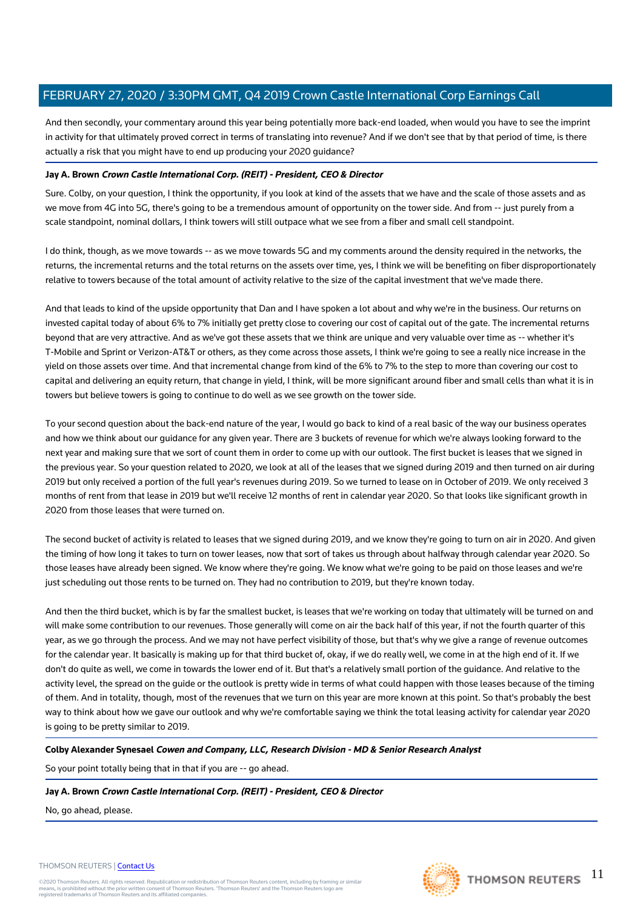And then secondly, your commentary around this year being potentially more back-end loaded, when would you have to see the imprint in activity for that ultimately proved correct in terms of translating into revenue? And if we don't see that by that period of time, is there actually a risk that you might have to end up producing your 2020 guidance?

## **Jay A. Brown Crown Castle International Corp. (REIT) - President, CEO & Director**

Sure. Colby, on your question, I think the opportunity, if you look at kind of the assets that we have and the scale of those assets and as we move from 4G into 5G, there's going to be a tremendous amount of opportunity on the tower side. And from -- just purely from a scale standpoint, nominal dollars, I think towers will still outpace what we see from a fiber and small cell standpoint.

I do think, though, as we move towards -- as we move towards 5G and my comments around the density required in the networks, the returns, the incremental returns and the total returns on the assets over time, yes, I think we will be benefiting on fiber disproportionately relative to towers because of the total amount of activity relative to the size of the capital investment that we've made there.

And that leads to kind of the upside opportunity that Dan and I have spoken a lot about and why we're in the business. Our returns on invested capital today of about 6% to 7% initially get pretty close to covering our cost of capital out of the gate. The incremental returns beyond that are very attractive. And as we've got these assets that we think are unique and very valuable over time as -- whether it's T-Mobile and Sprint or Verizon-AT&T or others, as they come across those assets, I think we're going to see a really nice increase in the yield on those assets over time. And that incremental change from kind of the 6% to 7% to the step to more than covering our cost to capital and delivering an equity return, that change in yield, I think, will be more significant around fiber and small cells than what it is in towers but believe towers is going to continue to do well as we see growth on the tower side.

To your second question about the back-end nature of the year, I would go back to kind of a real basic of the way our business operates and how we think about our guidance for any given year. There are 3 buckets of revenue for which we're always looking forward to the next year and making sure that we sort of count them in order to come up with our outlook. The first bucket is leases that we signed in the previous year. So your question related to 2020, we look at all of the leases that we signed during 2019 and then turned on air during 2019 but only received a portion of the full year's revenues during 2019. So we turned to lease on in October of 2019. We only received 3 months of rent from that lease in 2019 but we'll receive 12 months of rent in calendar year 2020. So that looks like significant growth in 2020 from those leases that were turned on.

The second bucket of activity is related to leases that we signed during 2019, and we know they're going to turn on air in 2020. And given the timing of how long it takes to turn on tower leases, now that sort of takes us through about halfway through calendar year 2020. So those leases have already been signed. We know where they're going. We know what we're going to be paid on those leases and we're just scheduling out those rents to be turned on. They had no contribution to 2019, but they're known today.

And then the third bucket, which is by far the smallest bucket, is leases that we're working on today that ultimately will be turned on and will make some contribution to our revenues. Those generally will come on air the back half of this year, if not the fourth quarter of this year, as we go through the process. And we may not have perfect visibility of those, but that's why we give a range of revenue outcomes for the calendar year. It basically is making up for that third bucket of, okay, if we do really well, we come in at the high end of it. If we don't do quite as well, we come in towards the lower end of it. But that's a relatively small portion of the guidance. And relative to the activity level, the spread on the guide or the outlook is pretty wide in terms of what could happen with those leases because of the timing of them. And in totality, though, most of the revenues that we turn on this year are more known at this point. So that's probably the best way to think about how we gave our outlook and why we're comfortable saying we think the total leasing activity for calendar year 2020 is going to be pretty similar to 2019.

## **Colby Alexander Synesael Cowen and Company, LLC, Research Division - MD & Senior Research Analyst**

So your point totally being that in that if you are -- go ahead.

## **Jay A. Brown Crown Castle International Corp. (REIT) - President, CEO & Director**

No, go ahead, please.

#### THOMSON REUTERS | [Contact Us](https://my.thomsonreuters.com/ContactUsNew)

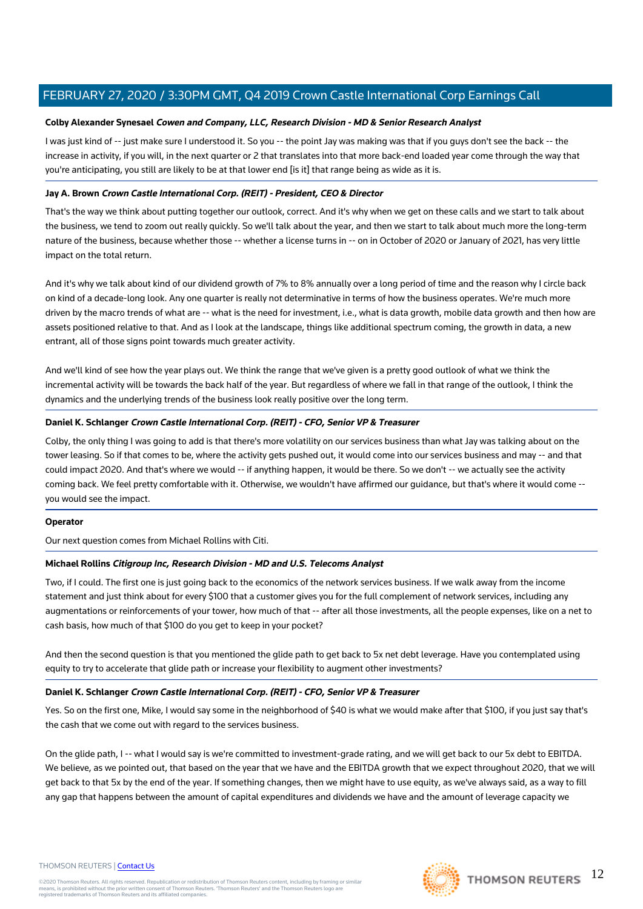## **Colby Alexander Synesael Cowen and Company, LLC, Research Division - MD & Senior Research Analyst**

I was just kind of -- just make sure I understood it. So you -- the point Jay was making was that if you guys don't see the back -- the increase in activity, if you will, in the next quarter or 2 that translates into that more back-end loaded year come through the way that you're anticipating, you still are likely to be at that lower end [is it] that range being as wide as it is.

## **Jay A. Brown Crown Castle International Corp. (REIT) - President, CEO & Director**

That's the way we think about putting together our outlook, correct. And it's why when we get on these calls and we start to talk about the business, we tend to zoom out really quickly. So we'll talk about the year, and then we start to talk about much more the long-term nature of the business, because whether those -- whether a license turns in -- on in October of 2020 or January of 2021, has very little impact on the total return.

And it's why we talk about kind of our dividend growth of 7% to 8% annually over a long period of time and the reason why I circle back on kind of a decade-long look. Any one quarter is really not determinative in terms of how the business operates. We're much more driven by the macro trends of what are -- what is the need for investment, i.e., what is data growth, mobile data growth and then how are assets positioned relative to that. And as I look at the landscape, things like additional spectrum coming, the growth in data, a new entrant, all of those signs point towards much greater activity.

And we'll kind of see how the year plays out. We think the range that we've given is a pretty good outlook of what we think the incremental activity will be towards the back half of the year. But regardless of where we fall in that range of the outlook, I think the dynamics and the underlying trends of the business look really positive over the long term.

## **Daniel K. Schlanger Crown Castle International Corp. (REIT) - CFO, Senior VP & Treasurer**

Colby, the only thing I was going to add is that there's more volatility on our services business than what Jay was talking about on the tower leasing. So if that comes to be, where the activity gets pushed out, it would come into our services business and may -- and that could impact 2020. And that's where we would -- if anything happen, it would be there. So we don't -- we actually see the activity coming back. We feel pretty comfortable with it. Otherwise, we wouldn't have affirmed our guidance, but that's where it would come - you would see the impact.

#### **Operator**

Our next question comes from Michael Rollins with Citi.

## **Michael Rollins Citigroup Inc, Research Division - MD and U.S. Telecoms Analyst**

Two, if I could. The first one is just going back to the economics of the network services business. If we walk away from the income statement and just think about for every \$100 that a customer gives you for the full complement of network services, including any augmentations or reinforcements of your tower, how much of that -- after all those investments, all the people expenses, like on a net to cash basis, how much of that \$100 do you get to keep in your pocket?

And then the second question is that you mentioned the glide path to get back to 5x net debt leverage. Have you contemplated using equity to try to accelerate that glide path or increase your flexibility to augment other investments?

## **Daniel K. Schlanger Crown Castle International Corp. (REIT) - CFO, Senior VP & Treasurer**

Yes. So on the first one, Mike, I would say some in the neighborhood of \$40 is what we would make after that \$100, if you just say that's the cash that we come out with regard to the services business.

On the glide path, I -- what I would say is we're committed to investment-grade rating, and we will get back to our 5x debt to EBITDA. We believe, as we pointed out, that based on the year that we have and the EBITDA growth that we expect throughout 2020, that we will get back to that 5x by the end of the year. If something changes, then we might have to use equity, as we've always said, as a way to fill any gap that happens between the amount of capital expenditures and dividends we have and the amount of leverage capacity we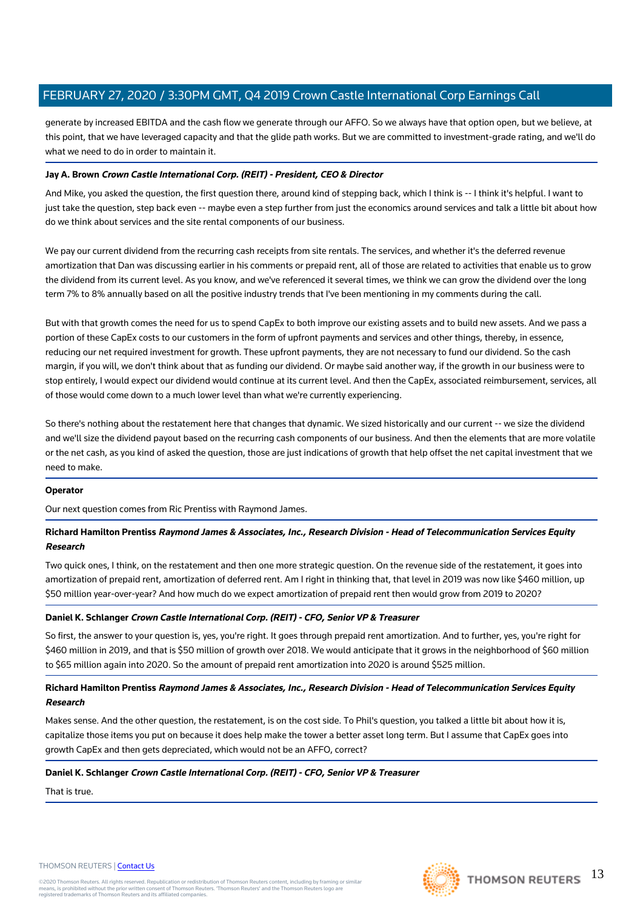generate by increased EBITDA and the cash flow we generate through our AFFO. So we always have that option open, but we believe, at this point, that we have leveraged capacity and that the glide path works. But we are committed to investment-grade rating, and we'll do what we need to do in order to maintain it.

## **Jay A. Brown Crown Castle International Corp. (REIT) - President, CEO & Director**

And Mike, you asked the question, the first question there, around kind of stepping back, which I think is -- I think it's helpful. I want to just take the question, step back even -- maybe even a step further from just the economics around services and talk a little bit about how do we think about services and the site rental components of our business.

We pay our current dividend from the recurring cash receipts from site rentals. The services, and whether it's the deferred revenue amortization that Dan was discussing earlier in his comments or prepaid rent, all of those are related to activities that enable us to grow the dividend from its current level. As you know, and we've referenced it several times, we think we can grow the dividend over the long term 7% to 8% annually based on all the positive industry trends that I've been mentioning in my comments during the call.

But with that growth comes the need for us to spend CapEx to both improve our existing assets and to build new assets. And we pass a portion of these CapEx costs to our customers in the form of upfront payments and services and other things, thereby, in essence, reducing our net required investment for growth. These upfront payments, they are not necessary to fund our dividend. So the cash margin, if you will, we don't think about that as funding our dividend. Or maybe said another way, if the growth in our business were to stop entirely, I would expect our dividend would continue at its current level. And then the CapEx, associated reimbursement, services, all of those would come down to a much lower level than what we're currently experiencing.

So there's nothing about the restatement here that changes that dynamic. We sized historically and our current -- we size the dividend and we'll size the dividend payout based on the recurring cash components of our business. And then the elements that are more volatile or the net cash, as you kind of asked the question, those are just indications of growth that help offset the net capital investment that we need to make.

## **Operator**

Our next question comes from Ric Prentiss with Raymond James.

## **Richard Hamilton Prentiss Raymond James & Associates, Inc., Research Division - Head of Telecommunication Services Equity Research**

Two quick ones, I think, on the restatement and then one more strategic question. On the revenue side of the restatement, it goes into amortization of prepaid rent, amortization of deferred rent. Am I right in thinking that, that level in 2019 was now like \$460 million, up \$50 million year-over-year? And how much do we expect amortization of prepaid rent then would grow from 2019 to 2020?

## **Daniel K. Schlanger Crown Castle International Corp. (REIT) - CFO, Senior VP & Treasurer**

So first, the answer to your question is, yes, you're right. It goes through prepaid rent amortization. And to further, yes, you're right for \$460 million in 2019, and that is \$50 million of growth over 2018. We would anticipate that it grows in the neighborhood of \$60 million to \$65 million again into 2020. So the amount of prepaid rent amortization into 2020 is around \$525 million.

## **Richard Hamilton Prentiss Raymond James & Associates, Inc., Research Division - Head of Telecommunication Services Equity Research**

Makes sense. And the other question, the restatement, is on the cost side. To Phil's question, you talked a little bit about how it is, capitalize those items you put on because it does help make the tower a better asset long term. But I assume that CapEx goes into growth CapEx and then gets depreciated, which would not be an AFFO, correct?

## **Daniel K. Schlanger Crown Castle International Corp. (REIT) - CFO, Senior VP & Treasurer**

That is true.

#### THOMSON REUTERS | [Contact Us](https://my.thomsonreuters.com/ContactUsNew)

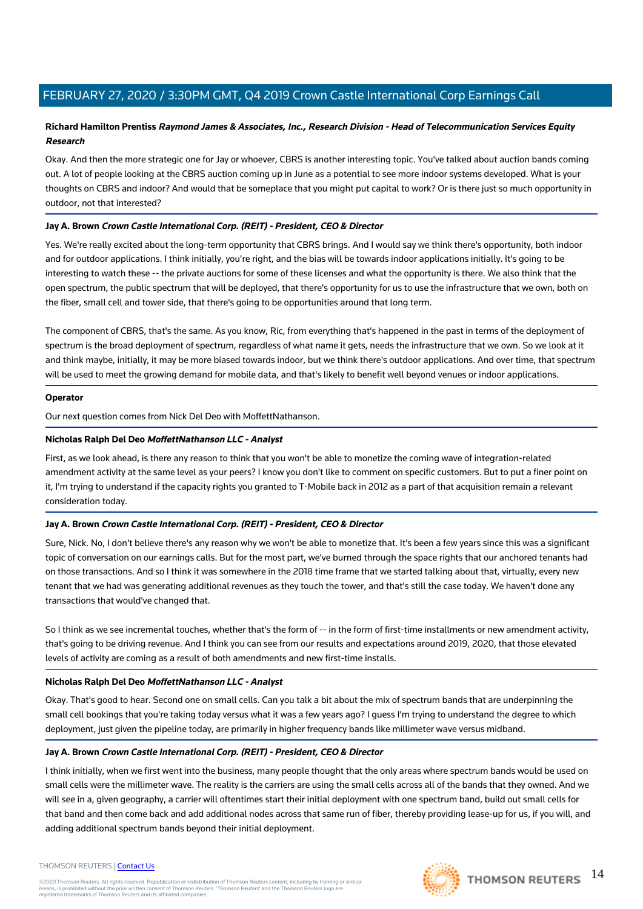## **Richard Hamilton Prentiss Raymond James & Associates, Inc., Research Division - Head of Telecommunication Services Equity Research**

Okay. And then the more strategic one for Jay or whoever, CBRS is another interesting topic. You've talked about auction bands coming out. A lot of people looking at the CBRS auction coming up in June as a potential to see more indoor systems developed. What is your thoughts on CBRS and indoor? And would that be someplace that you might put capital to work? Or is there just so much opportunity in outdoor, not that interested?

## **Jay A. Brown Crown Castle International Corp. (REIT) - President, CEO & Director**

Yes. We're really excited about the long-term opportunity that CBRS brings. And I would say we think there's opportunity, both indoor and for outdoor applications. I think initially, you're right, and the bias will be towards indoor applications initially. It's going to be interesting to watch these -- the private auctions for some of these licenses and what the opportunity is there. We also think that the open spectrum, the public spectrum that will be deployed, that there's opportunity for us to use the infrastructure that we own, both on the fiber, small cell and tower side, that there's going to be opportunities around that long term.

The component of CBRS, that's the same. As you know, Ric, from everything that's happened in the past in terms of the deployment of spectrum is the broad deployment of spectrum, regardless of what name it gets, needs the infrastructure that we own. So we look at it and think maybe, initially, it may be more biased towards indoor, but we think there's outdoor applications. And over time, that spectrum will be used to meet the growing demand for mobile data, and that's likely to benefit well beyond venues or indoor applications.

## **Operator**

Our next question comes from Nick Del Deo with MoffettNathanson.

## **Nicholas Ralph Del Deo MoffettNathanson LLC - Analyst**

First, as we look ahead, is there any reason to think that you won't be able to monetize the coming wave of integration-related amendment activity at the same level as your peers? I know you don't like to comment on specific customers. But to put a finer point on it, I'm trying to understand if the capacity rights you granted to T-Mobile back in 2012 as a part of that acquisition remain a relevant consideration today.

## **Jay A. Brown Crown Castle International Corp. (REIT) - President, CEO & Director**

Sure, Nick. No, I don't believe there's any reason why we won't be able to monetize that. It's been a few years since this was a significant topic of conversation on our earnings calls. But for the most part, we've burned through the space rights that our anchored tenants had on those transactions. And so I think it was somewhere in the 2018 time frame that we started talking about that, virtually, every new tenant that we had was generating additional revenues as they touch the tower, and that's still the case today. We haven't done any transactions that would've changed that.

So I think as we see incremental touches, whether that's the form of -- in the form of first-time installments or new amendment activity, that's going to be driving revenue. And I think you can see from our results and expectations around 2019, 2020, that those elevated levels of activity are coming as a result of both amendments and new first-time installs.

## **Nicholas Ralph Del Deo MoffettNathanson LLC - Analyst**

Okay. That's good to hear. Second one on small cells. Can you talk a bit about the mix of spectrum bands that are underpinning the small cell bookings that you're taking today versus what it was a few years ago? I guess I'm trying to understand the degree to which deployment, just given the pipeline today, are primarily in higher frequency bands like millimeter wave versus midband.

## **Jay A. Brown Crown Castle International Corp. (REIT) - President, CEO & Director**

I think initially, when we first went into the business, many people thought that the only areas where spectrum bands would be used on small cells were the millimeter wave. The reality is the carriers are using the small cells across all of the bands that they owned. And we will see in a, given geography, a carrier will oftentimes start their initial deployment with one spectrum band, build out small cells for that band and then come back and add additional nodes across that same run of fiber, thereby providing lease-up for us, if you will, and adding additional spectrum bands beyond their initial deployment.

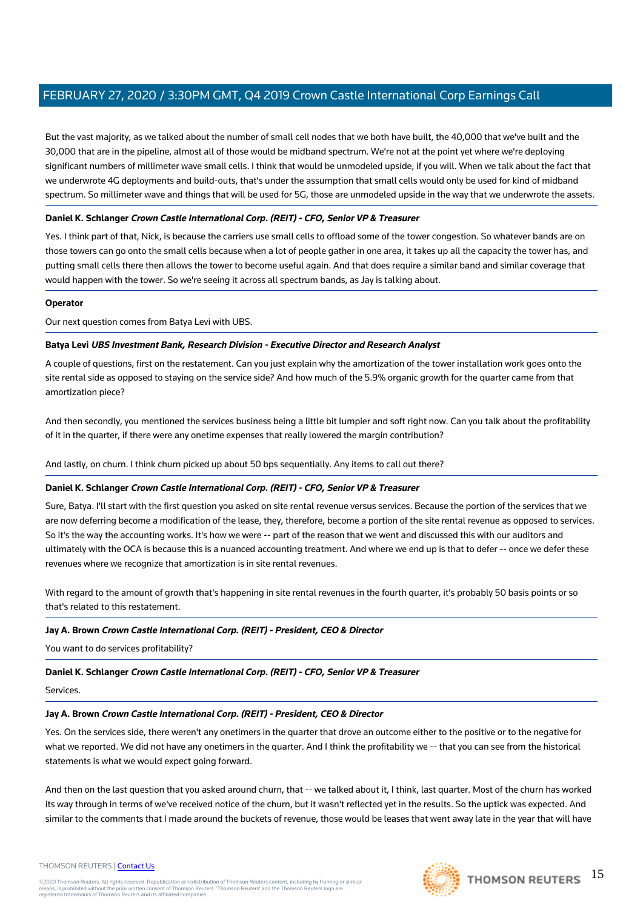But the vast majority, as we talked about the number of small cell nodes that we both have built, the 40,000 that we've built and the 30,000 that are in the pipeline, almost all of those would be midband spectrum. We're not at the point yet where we're deploying significant numbers of millimeter wave small cells. I think that would be unmodeled upside, if you will. When we talk about the fact that we underwrote 4G deployments and build-outs, that's under the assumption that small cells would only be used for kind of midband spectrum. So millimeter wave and things that will be used for 5G, those are unmodeled upside in the way that we underwrote the assets.

## **Daniel K. Schlanger Crown Castle International Corp. (REIT) - CFO, Senior VP & Treasurer**

Yes. I think part of that, Nick, is because the carriers use small cells to offload some of the tower congestion. So whatever bands are on those towers can go onto the small cells because when a lot of people gather in one area, it takes up all the capacity the tower has, and putting small cells there then allows the tower to become useful again. And that does require a similar band and similar coverage that would happen with the tower. So we're seeing it across all spectrum bands, as Jay is talking about.

## **Operator**

Our next question comes from Batya Levi with UBS.

## **Batya Levi UBS Investment Bank, Research Division - Executive Director and Research Analyst**

A couple of questions, first on the restatement. Can you just explain why the amortization of the tower installation work goes onto the site rental side as opposed to staying on the service side? And how much of the 5.9% organic growth for the quarter came from that amortization piece?

And then secondly, you mentioned the services business being a little bit lumpier and soft right now. Can you talk about the profitability of it in the quarter, if there were any onetime expenses that really lowered the margin contribution?

And lastly, on churn. I think churn picked up about 50 bps sequentially. Any items to call out there?

## **Daniel K. Schlanger Crown Castle International Corp. (REIT) - CFO, Senior VP & Treasurer**

Sure, Batya. I'll start with the first question you asked on site rental revenue versus services. Because the portion of the services that we are now deferring become a modification of the lease, they, therefore, become a portion of the site rental revenue as opposed to services. So it's the way the accounting works. It's how we were -- part of the reason that we went and discussed this with our auditors and ultimately with the OCA is because this is a nuanced accounting treatment. And where we end up is that to defer -- once we defer these revenues where we recognize that amortization is in site rental revenues.

With regard to the amount of growth that's happening in site rental revenues in the fourth quarter, it's probably 50 basis points or so that's related to this restatement.

## **Jay A. Brown Crown Castle International Corp. (REIT) - President, CEO & Director**

You want to do services profitability?

## **Daniel K. Schlanger Crown Castle International Corp. (REIT) - CFO, Senior VP & Treasurer**

Services.

## **Jay A. Brown Crown Castle International Corp. (REIT) - President, CEO & Director**

Yes. On the services side, there weren't any onetimers in the quarter that drove an outcome either to the positive or to the negative for what we reported. We did not have any onetimers in the quarter. And I think the profitability we -- that you can see from the historical statements is what we would expect going forward.

And then on the last question that you asked around churn, that -- we talked about it, I think, last quarter. Most of the churn has worked its way through in terms of we've received notice of the churn, but it wasn't reflected yet in the results. So the uptick was expected. And similar to the comments that I made around the buckets of revenue, those would be leases that went away late in the year that will have





#### THOMSON REUTERS | [Contact Us](https://my.thomsonreuters.com/ContactUsNew)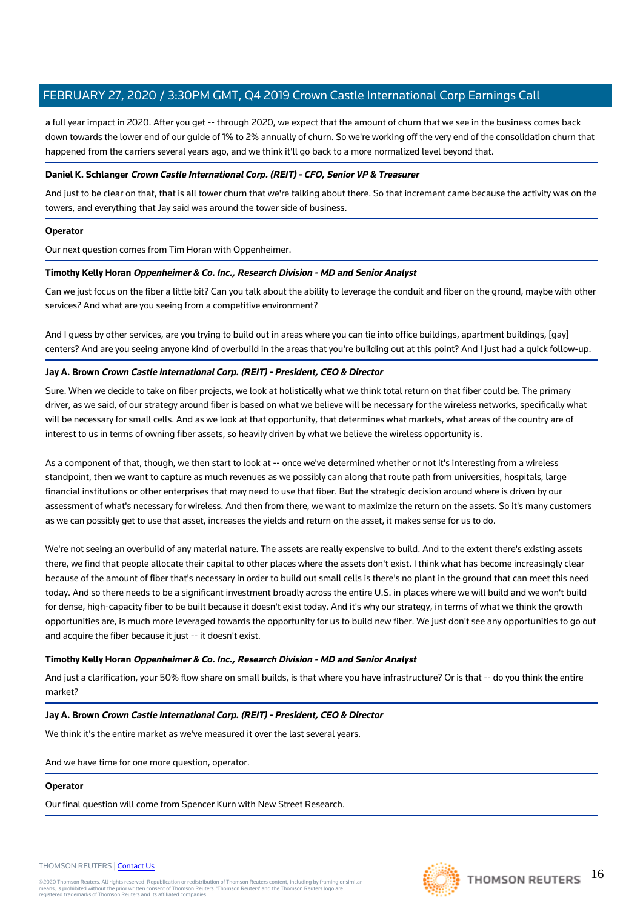a full year impact in 2020. After you get -- through 2020, we expect that the amount of churn that we see in the business comes back down towards the lower end of our guide of 1% to 2% annually of churn. So we're working off the very end of the consolidation churn that happened from the carriers several years ago, and we think it'll go back to a more normalized level beyond that.

## **Daniel K. Schlanger Crown Castle International Corp. (REIT) - CFO, Senior VP & Treasurer**

And just to be clear on that, that is all tower churn that we're talking about there. So that increment came because the activity was on the towers, and everything that Jay said was around the tower side of business.

## **Operator**

Our next question comes from Tim Horan with Oppenheimer.

## **Timothy Kelly Horan Oppenheimer & Co. Inc., Research Division - MD and Senior Analyst**

Can we just focus on the fiber a little bit? Can you talk about the ability to leverage the conduit and fiber on the ground, maybe with other services? And what are you seeing from a competitive environment?

And I guess by other services, are you trying to build out in areas where you can tie into office buildings, apartment buildings, [gay] centers? And are you seeing anyone kind of overbuild in the areas that you're building out at this point? And I just had a quick follow-up.

## **Jay A. Brown Crown Castle International Corp. (REIT) - President, CEO & Director**

Sure. When we decide to take on fiber projects, we look at holistically what we think total return on that fiber could be. The primary driver, as we said, of our strategy around fiber is based on what we believe will be necessary for the wireless networks, specifically what will be necessary for small cells. And as we look at that opportunity, that determines what markets, what areas of the country are of interest to us in terms of owning fiber assets, so heavily driven by what we believe the wireless opportunity is.

As a component of that, though, we then start to look at -- once we've determined whether or not it's interesting from a wireless standpoint, then we want to capture as much revenues as we possibly can along that route path from universities, hospitals, large financial institutions or other enterprises that may need to use that fiber. But the strategic decision around where is driven by our assessment of what's necessary for wireless. And then from there, we want to maximize the return on the assets. So it's many customers as we can possibly get to use that asset, increases the yields and return on the asset, it makes sense for us to do.

We're not seeing an overbuild of any material nature. The assets are really expensive to build. And to the extent there's existing assets there, we find that people allocate their capital to other places where the assets don't exist. I think what has become increasingly clear because of the amount of fiber that's necessary in order to build out small cells is there's no plant in the ground that can meet this need today. And so there needs to be a significant investment broadly across the entire U.S. in places where we will build and we won't build for dense, high-capacity fiber to be built because it doesn't exist today. And it's why our strategy, in terms of what we think the growth opportunities are, is much more leveraged towards the opportunity for us to build new fiber. We just don't see any opportunities to go out and acquire the fiber because it just -- it doesn't exist.

## **Timothy Kelly Horan Oppenheimer & Co. Inc., Research Division - MD and Senior Analyst**

And just a clarification, your 50% flow share on small builds, is that where you have infrastructure? Or is that -- do you think the entire market?

## **Jay A. Brown Crown Castle International Corp. (REIT) - President, CEO & Director**

We think it's the entire market as we've measured it over the last several years.

And we have time for one more question, operator.

## **Operator**

Our final question will come from Spencer Kurn with New Street Research.

#### THOMSON REUTERS | [Contact Us](https://my.thomsonreuters.com/ContactUsNew)

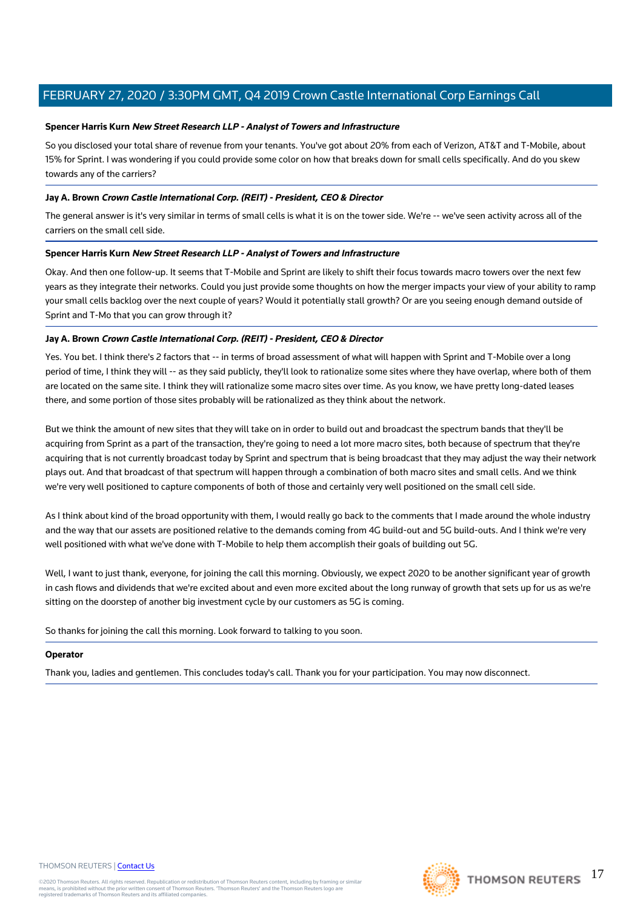## **Spencer Harris Kurn New Street Research LLP - Analyst of Towers and Infrastructure**

So you disclosed your total share of revenue from your tenants. You've got about 20% from each of Verizon, AT&T and T-Mobile, about 15% for Sprint. I was wondering if you could provide some color on how that breaks down for small cells specifically. And do you skew towards any of the carriers?

## **Jay A. Brown Crown Castle International Corp. (REIT) - President, CEO & Director**

The general answer is it's very similar in terms of small cells is what it is on the tower side. We're -- we've seen activity across all of the carriers on the small cell side.

## **Spencer Harris Kurn New Street Research LLP - Analyst of Towers and Infrastructure**

Okay. And then one follow-up. It seems that T-Mobile and Sprint are likely to shift their focus towards macro towers over the next few years as they integrate their networks. Could you just provide some thoughts on how the merger impacts your view of your ability to ramp your small cells backlog over the next couple of years? Would it potentially stall growth? Or are you seeing enough demand outside of Sprint and T-Mo that you can grow through it?

## **Jay A. Brown Crown Castle International Corp. (REIT) - President, CEO & Director**

Yes. You bet. I think there's 2 factors that -- in terms of broad assessment of what will happen with Sprint and T-Mobile over a long period of time, I think they will -- as they said publicly, they'll look to rationalize some sites where they have overlap, where both of them are located on the same site. I think they will rationalize some macro sites over time. As you know, we have pretty long-dated leases there, and some portion of those sites probably will be rationalized as they think about the network.

But we think the amount of new sites that they will take on in order to build out and broadcast the spectrum bands that they'll be acquiring from Sprint as a part of the transaction, they're going to need a lot more macro sites, both because of spectrum that they're acquiring that is not currently broadcast today by Sprint and spectrum that is being broadcast that they may adjust the way their network plays out. And that broadcast of that spectrum will happen through a combination of both macro sites and small cells. And we think we're very well positioned to capture components of both of those and certainly very well positioned on the small cell side.

As I think about kind of the broad opportunity with them, I would really go back to the comments that I made around the whole industry and the way that our assets are positioned relative to the demands coming from 4G build-out and 5G build-outs. And I think we're very well positioned with what we've done with T-Mobile to help them accomplish their goals of building out 5G.

Well, I want to just thank, everyone, for joining the call this morning. Obviously, we expect 2020 to be another significant year of growth in cash flows and dividends that we're excited about and even more excited about the long runway of growth that sets up for us as we're sitting on the doorstep of another big investment cycle by our customers as 5G is coming.

So thanks for joining the call this morning. Look forward to talking to you soon.

#### **Operator**

Thank you, ladies and gentlemen. This concludes today's call. Thank you for your participation. You may now disconnect.